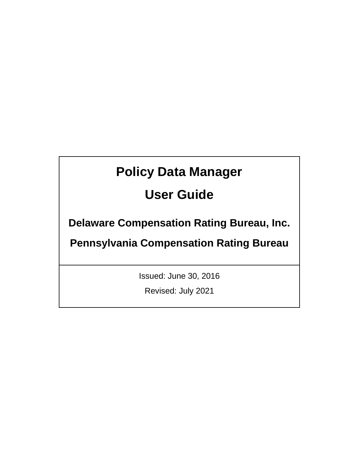# **Policy Data Manager**

## **User Guide**

**Delaware Compensation Rating Bureau, Inc.** 

**Pennsylvania Compensation Rating Bureau**

Issued: June 30, 2016

Revised: July 2021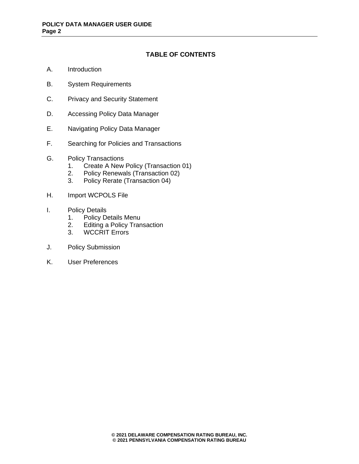## **TABLE OF CONTENTS**

- A. Introduction
- B. System Requirements
- C. Privacy and Security Statement
- D. Accessing Policy Data Manager
- E. Navigating Policy Data Manager
- F. Searching for Policies and Transactions
- G. Policy Transactions
	- 1. Create A New Policy (Transaction 01)<br>2. Policy Renewals (Transaction 02)
	- 2. Policy Renewals (Transaction 02)<br>3. Policy Rerate (Transaction 04)
	- 3. Policy Rerate (Transaction 04)
- H. Import WCPOLS File
- I. Policy Details
	- 1. Policy Details Menu
	- 2. Editing a Policy Transaction
	- 3. WCCRIT Errors
- J. Policy Submission
- K. User Preferences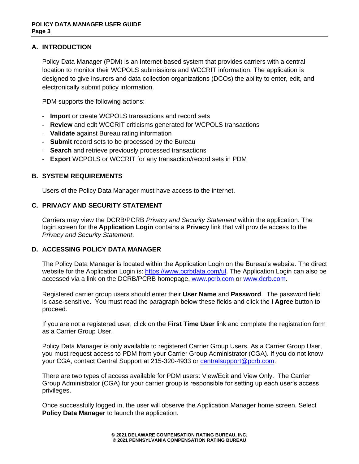## **A. INTRODUCTION**

Policy Data Manager (PDM) is an Internet-based system that provides carriers with a central location to monitor their WCPOLS submissions and WCCRIT information. The application is designed to give insurers and data collection organizations (DCOs) the ability to enter, edit, and electronically submit policy information.

PDM supports the following actions:

- **Import** or create WCPOLS transactions and record sets
- **Review** and edit WCCRIT criticisms generated for WCPOLS transactions
- **Validate** against Bureau rating information
- **Submit** record sets to be processed by the Bureau
- **Search** and retrieve previously processed transactions
- **Export** WCPOLS or WCCRIT for any transaction/record sets in PDM

## **B. SYSTEM REQUIREMENTS**

Users of the Policy Data Manager must have access to the internet.

## **C. PRIVACY AND SECURITY STATEMENT**

Carriers may view the DCRB/PCRB *Privacy and Security Statement* within the application. The login screen for the **Application Login** contains a **Privacy** link that will provide access to the *Privacy and Security Statement*.

## **D. ACCESSING POLICY DATA MANAGER**

The Policy Data Manager is located within the Application Login on the Bureau's website. The direct website for the Application Login is: [https://www.pcrbdata.com/ul.](https://www.pcrbdata.com/ul) The Application Login can also be accessed via a link on the DCRB/PCRB homepage, [www.pcrb.com](http://www.pcrb.com/) or [www.dcrb.com.](http://www.dcrb.com/)

Registered carrier group users should enter their **User Name** and **Password**. The password field is case-sensitive. You must read the paragraph below these fields and click the **I Agree** button to proceed.

If you are not a registered user, click on the **First Time User** link and complete the registration form as a Carrier Group User.

Policy Data Manager is only available to registered Carrier Group Users. As a Carrier Group User, you must request access to PDM from your Carrier Group Administrator (CGA). If you do not know your CGA, contact Central Support at 215-320-4933 or [centralsupport@pcrb.com.](mailto:centralsupport@pcrb.com)

There are two types of access available for PDM users: View/Edit and View Only. The Carrier Group Administrator (CGA) for your carrier group is responsible for setting up each user's access privileges.

Once successfully logged in, the user will observe the Application Manager home screen. Select **Policy Data Manager** to launch the application.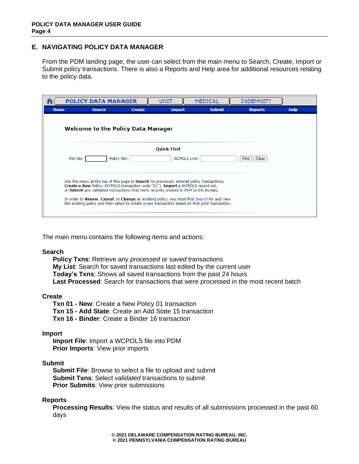## **E. NAVIGATING POLICY DATA MANAGER**

From the PDM landing page, the user can select from the main menu to Search, Create, Import or Submit policy transactions. There is also a Reports and Help area for additional resources relating to the policy data.

|             | <b>POLICY DATA MANAGER</b>                                                                                                                                                                                                                                                                                                                                                   |               | UNIT          | <b>MEDICAL</b>                                                                                   | <b>INDEMNITY</b> |             |  |  |  |  |
|-------------|------------------------------------------------------------------------------------------------------------------------------------------------------------------------------------------------------------------------------------------------------------------------------------------------------------------------------------------------------------------------------|---------------|---------------|--------------------------------------------------------------------------------------------------|------------------|-------------|--|--|--|--|
| <b>Home</b> | <b>Search</b>                                                                                                                                                                                                                                                                                                                                                                | <b>Create</b> | <b>Import</b> | <b>Submit</b>                                                                                    | <b>Reports</b>   | <b>Help</b> |  |  |  |  |
|             | <b>Welcome to the Policy Data Manager</b>                                                                                                                                                                                                                                                                                                                                    |               |               |                                                                                                  |                  |             |  |  |  |  |
|             | <b>Quick Find</b><br><b>WCPOLS Link:</b><br>File Nbr:<br>Policy Nbr:<br>Find   Clear                                                                                                                                                                                                                                                                                         |               |               |                                                                                                  |                  |             |  |  |  |  |
|             | Use the menu at the top of this page to <b>Search</b> for previously entered policy transactions,<br>Create a New Policy (WCPOLS transaction code "01"), Import a WCPOLS record set,<br>or Submit any validated transactions that were recently created in PDM to the Bureau.<br>In order to Renew, Cancel, or Change an existing policy, you must first Search for and view |               |               |                                                                                                  |                  |             |  |  |  |  |
|             |                                                                                                                                                                                                                                                                                                                                                                              |               |               | the existing policy and then select to create a new transaction based on that prior transaction. |                  |             |  |  |  |  |

The main menu contains the following items and actions:

## **Search**

**Policy Txns**: Retrieve any *processed* or *saved* transactions **My List**: Search for saved transactions last edited by the current user **Today's Txns**: Shows all saved transactions from the past 24 hours **Last Processed**: Search for transactions that were processed in the most recent batch

## **Create**

**Txn 01 - New**: Create a New Policy 01 transaction **Txn 15 - Add State**: Create an Add State 15 transaction **Txn 16 - Binder**: Create a Binder 16 transaction

#### **Import**

**Import File**: Import a WCPOLS file into PDM **Prior Imports**: View prior imports

#### **Submit**

**Submit File**: Browse to select a file to upload and submit **Submit Txns**: Select *validated* transactions to submit **Prior Submits**: View prior submissions

## **Reports**

**Processing Results**: View the status and results of all submissions processed in the past 60 days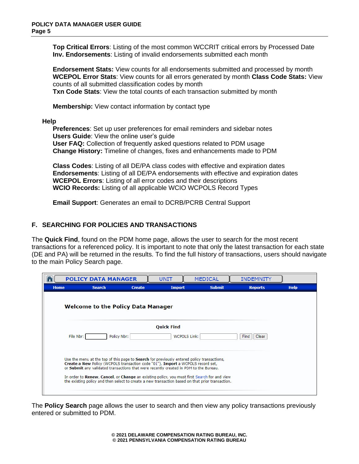**Top Critical Errors**: Listing of the most common WCCRIT critical errors by Processed Date **Inv. Endorsements**: Listing of invalid endorsements submitted each month

**Endorsement Stats:** View counts for all endorsements submitted and processed by month **WCEPOL Error Stats**: View counts for all errors generated by month **Class Code Stats:** View counts of all submitted classification codes by month

**Txn Code Stats**: View the total counts of each transaction submitted by month

**Membership:** View contact information by contact type

**Help**

**Preferences**: Set up user preferences for email reminders and sidebar notes **Users Guide**: View the online user's guide **User FAQ:** Collection of frequently asked questions related to PDM usage **Change History:** Timeline of changes, fixes and enhancements made to PDM

**Class Codes**: Listing of all DE/PA class codes with effective and expiration dates **Endorsements**: Listing of all DE/PA endorsements with effective and expiration dates **WCEPOL Errors**: Listing of all error codes and their descriptions **WCIO Records:** Listing of all applicable WCIO WCPOLS Record Types

**Email Support**: Generates an email to DCRB/PCRB Central Support

## **F. SEARCHING FOR POLICIES AND TRANSACTIONS**

The **Quick Find**, found on the PDM home page, allows the user to search for the most recent transactions for a referenced policy. It is important to note that only the latest transaction for each state (DE and PA) will be returned in the results. To find the full history of transactions, users should navigate to the main Policy Search page.

|             | <b>POLICY DATA MANAGER</b>                                                                                                                                                                                                                                                                                                                                                                                                                                                       |               | UNIT                | <b>MEDICAL</b> | <b>INDEMNITY</b> |             |  |  |  |  |  |
|-------------|----------------------------------------------------------------------------------------------------------------------------------------------------------------------------------------------------------------------------------------------------------------------------------------------------------------------------------------------------------------------------------------------------------------------------------------------------------------------------------|---------------|---------------------|----------------|------------------|-------------|--|--|--|--|--|
| <b>Home</b> | <b>Search</b>                                                                                                                                                                                                                                                                                                                                                                                                                                                                    | <b>Create</b> | <b>Import</b>       | <b>Submit</b>  | <b>Reports</b>   | <b>Help</b> |  |  |  |  |  |
|             | <b>Welcome to the Policy Data Manager</b>                                                                                                                                                                                                                                                                                                                                                                                                                                        |               |                     |                |                  |             |  |  |  |  |  |
|             |                                                                                                                                                                                                                                                                                                                                                                                                                                                                                  |               | <b>Quick Find</b>   |                |                  |             |  |  |  |  |  |
|             | File Nbr:                                                                                                                                                                                                                                                                                                                                                                                                                                                                        | Policy Nbr:   | <b>WCPOLS Link:</b> |                | Clear<br>Find    |             |  |  |  |  |  |
|             | Use the menu at the top of this page to <b>Search</b> for previously entered policy transactions,<br>Create a New Policy (WCPOLS transaction code "01"), Import a WCPOLS record set,<br>or Submit any validated transactions that were recently created in PDM to the Bureau.<br>In order to Renew, Cancel, or Change an existing policy, you must first Search for and view<br>the existing policy and then select to create a new transaction based on that prior transaction. |               |                     |                |                  |             |  |  |  |  |  |

The **Policy Search** page allows the user to search and then view any policy transactions previously entered or submitted to PDM.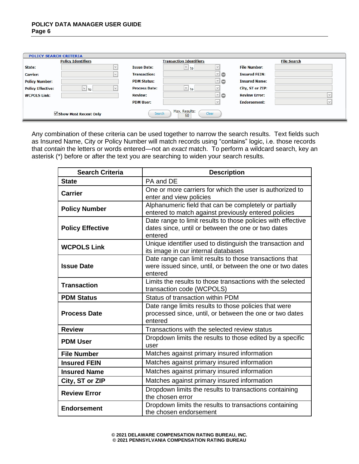| <b>POLICY SEARCH CRITERIA</b> |                           |                      |                                |              |                      |                    |
|-------------------------------|---------------------------|----------------------|--------------------------------|--------------|----------------------|--------------------|
|                               | <b>Policy Identifiers</b> |                      | <b>Transaction Identifiers</b> |              |                      | <b>File Search</b> |
| State:                        | $\vee$                    | <b>Issue Date:</b>   | $\vert \vee \vert$ to $\vert$  | $\checkmark$ | <b>File Number:</b>  |                    |
| <b>Carrier:</b>               | $\vee$                    | <b>Transaction:</b>  |                                | ⊻∣⊙          | <b>Insured FEIN:</b> |                    |
| <b>Policy Number:</b>         |                           | <b>PDM Status:</b>   |                                | ⊡⊜           | <b>Insured Name:</b> |                    |
| <b>Policy Effective:</b>      | $\vee$ to<br>$\checkmark$ | <b>Process Date:</b> | $\vert \vee \vert$ to          |              | City, ST or ZIP:     |                    |
| <b>WCPOLS Link:</b>           |                           | <b>Review:</b>       |                                | ⊻∣⊝          | <b>Review Error:</b> |                    |
|                               |                           | <b>PDM User:</b>     |                                | $\vee$       | <b>Endorsement:</b>  | $\vert \vee \vert$ |
|                               | Show Most Recent Only     | Search               | Max. Results:<br>50            | Clear        |                      |                    |

Any combination of these criteria can be used together to narrow the search results. Text fields such as Insured Name, City or Policy Number will match records using "contains" logic, i.e. those records that *contain* the letters or words entered—not an *exact* match. To perform a wildcard search, key an asterisk (\*) before or after the text you are searching to widen your search results.

| <b>Search Criteria</b>  | <b>Description</b>                                                                                                              |
|-------------------------|---------------------------------------------------------------------------------------------------------------------------------|
| <b>State</b>            | PA and DE                                                                                                                       |
| <b>Carrier</b>          | One or more carriers for which the user is authorized to<br>enter and view policies                                             |
| <b>Policy Number</b>    | Alphanumeric field that can be completely or partially<br>entered to match against previously entered policies                  |
| <b>Policy Effective</b> | Date range to limit results to those policies with effective<br>dates since, until or between the one or two dates<br>entered   |
| <b>WCPOLS Link</b>      | Unique identifier used to distinguish the transaction and<br>its image in our internal databases                                |
| <b>Issue Date</b>       | Date range can limit results to those transactions that<br>were issued since, until, or between the one or two dates<br>entered |
| <b>Transaction</b>      | Limits the results to those transactions with the selected<br>transaction code (WCPOLS)                                         |
| <b>PDM Status</b>       | Status of transaction within PDM                                                                                                |
| <b>Process Date</b>     | Date range limits results to those policies that were<br>processed since, until, or between the one or two dates<br>entered     |
| <b>Review</b>           | Transactions with the selected review status                                                                                    |
| <b>PDM User</b>         | Dropdown limits the results to those edited by a specific<br>user                                                               |
| <b>File Number</b>      | Matches against primary insured information                                                                                     |
| <b>Insured FEIN</b>     | Matches against primary insured information                                                                                     |
| <b>Insured Name</b>     | Matches against primary insured information                                                                                     |
| City, ST or ZIP         | Matches against primary insured information                                                                                     |
| <b>Review Error</b>     | Dropdown limits the results to transactions containing<br>the chosen error                                                      |
| <b>Endorsement</b>      | Dropdown limits the results to transactions containing<br>the chosen endorsement                                                |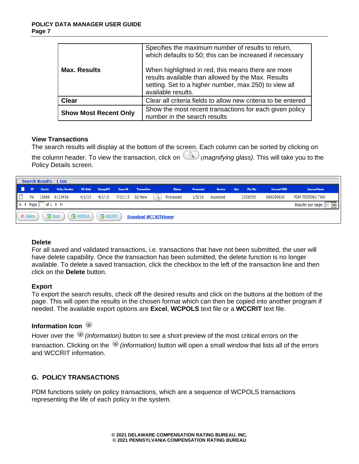|                              | Specifies the maximum number of results to return,<br>which defaults to 50; this can be increased if necessary                                                                          |
|------------------------------|-----------------------------------------------------------------------------------------------------------------------------------------------------------------------------------------|
| <b>Max. Results</b>          | When highlighted in red, this means there are more<br>results available than allowed by the Max. Results<br>setting. Set to a higher number, max 250) to view all<br>available results. |
| <b>Clear</b>                 | Clear all criteria fields to allow new criteria to be entered                                                                                                                           |
| <b>Show Most Recent Only</b> | Show the most recent transactions for each given policy<br>number in the search results                                                                                                 |

## **View Transactions**

The search results will display at the bottom of the screen. Each column can be sorted by clicking on

the column header. To view the transaction, click on (*magnifying glass)*. This will take you to the Policy Details screen.

|     | Search Results - 1 txn |                                                    |                                                                 |                 |                              |  |  |                              |           |               |             |          |                     |                      |
|-----|------------------------|----------------------------------------------------|-----------------------------------------------------------------|-----------------|------------------------------|--|--|------------------------------|-----------|---------------|-------------|----------|---------------------|----------------------|
| l D | <b>ST</b>              |                                                    | Carrier Policy Number Eff. Date ChangeEff. Issue Dt Transaction |                 |                              |  |  | <b>Status</b>                | Processed | <b>Review</b> | <b>User</b> | File Nbr | <b>Insured FEIN</b> | <b>Insured Name</b>  |
| lo  | <b>PA</b>              |                                                    | 15066 0123456                                                   |                 | 4/1/15 4/1/15 7/21/15 01/New |  |  | $\mathbb{Q}$<br>Processed    | 1/5/16    | Accepted      |             | 3356595  | 000200030           | PDM TESTING TWO      |
|     |                        | $H \leftarrow \text{Page } 1$ of $1 \rightarrow H$ |                                                                 |                 |                              |  |  |                              |           |               |             |          |                     | Results per page: 20 |
|     | <b>X</b> Delete        |                                                    | <b>Excel</b>                                                    | <b>N</b> WCPOLS | <b>R</b> WCCRIT              |  |  | <b>Download WCCRITViewer</b> |           |               |             |          |                     |                      |

## **Delete**

For all saved and validated transactions, i.e. transactions that have not been submitted, the user will have delete capability. Once the transaction has been submitted, the delete function is no longer available. To delete a saved transaction, click the checkbox to the left of the transaction line and then click on the **Delete** button.

## **Export**

To export the search results, check off the desired results and click on the buttons at the bottom of the page. This will open the results in the chosen format which can then be copied into another program if needed. The available export options are **Excel**, **WCPOLS** text file or a **WCCRIT** text file.

## **Information Icon**

Hover over the *(information)* button to see a short preview of the most critical errors on the transaction. Clicking on the *(information)* button will open a small window that lists all of the errors and WCCRIT information.

## **G. POLICY TRANSACTIONS**

PDM functions solely on policy transactions, which are a sequence of WCPOLS transactions representing the life of each policy in the system.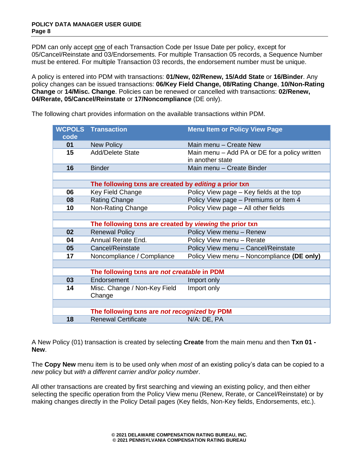PDM can only accept one of each Transaction Code per Issue Date per policy, except for 05/Cancel/Reinstate and 03/Endorsements. For multiple Transaction 05 records, a Sequence Number must be entered. For multiple Transaction 03 records, the endorsement number must be unique.

A policy is entered into PDM with transactions: **01/New, 02/Renew, 15/Add State** or **16/Binder**. Any policy changes can be issued transactions: **06/Key Field Change, 08/Rating Change**, **10/Non-Rating Change** or **14/Misc. Change**. Policies can be renewed or cancelled with transactions: **02/Renew, 04/Rerate, 05/Cancel/Reinstate** or **17/Noncompliance** (DE only).

| code | <b>WCPOLS Transaction</b>                               | <b>Menu Item or Policy View Page</b>                              |  |  |  |  |
|------|---------------------------------------------------------|-------------------------------------------------------------------|--|--|--|--|
| 01   | <b>New Policy</b>                                       | Main menu – Create New                                            |  |  |  |  |
| 15   | <b>Add/Delete State</b>                                 | Main menu – Add PA or DE for a policy written<br>in another state |  |  |  |  |
| 16   | <b>Binder</b>                                           | Main menu – Create Binder                                         |  |  |  |  |
|      |                                                         |                                                                   |  |  |  |  |
|      | The following txns are created by editing a prior txn   |                                                                   |  |  |  |  |
| 06   | Key Field Change                                        | Policy View page - Key fields at the top                          |  |  |  |  |
| 08   | Rating Change                                           | Policy View page - Premiums or Item 4                             |  |  |  |  |
| 10   | Non-Rating Change                                       | Policy View page - All other fields                               |  |  |  |  |
|      |                                                         |                                                                   |  |  |  |  |
|      | The following txns are created by viewing the prior txn |                                                                   |  |  |  |  |
| 02   | <b>Renewal Policy</b>                                   | Policy View menu - Renew                                          |  |  |  |  |
| 04   | Annual Rerate End.                                      | Policy View menu - Rerate                                         |  |  |  |  |
| 05   | Cancel/Reinstate                                        | Policy View menu - Cancel/Reinstate                               |  |  |  |  |
| 17   | Noncompliance / Compliance                              | Policy View menu - Noncompliance (DE only)                        |  |  |  |  |
|      |                                                         |                                                                   |  |  |  |  |
|      | The following txns are not creatable in PDM             |                                                                   |  |  |  |  |
| 03   | Endorsement                                             | Import only                                                       |  |  |  |  |
| 14   | Misc. Change / Non-Key Field<br>Change                  | Import only                                                       |  |  |  |  |
|      |                                                         |                                                                   |  |  |  |  |
|      | The following txns are not recognized by PDM            |                                                                   |  |  |  |  |
| 18   | <b>Renewal Certificate</b>                              | N/A: DE, PA                                                       |  |  |  |  |

The following chart provides information on the available transactions within PDM.

A New Policy (01) transaction is created by selecting **Create** from the main menu and then **Txn 01 - New**.

The **Copy New** menu item is to be used only when *most* of an existing policy's data can be copied to a *new* policy but *with a different carrier and/or policy number*.

All other transactions are created by first searching and viewing an existing policy, and then either selecting the specific operation from the Policy View menu (Renew, Rerate, or Cancel/Reinstate) or by making changes directly in the Policy Detail pages (Key fields, Non-Key fields, Endorsements, etc.).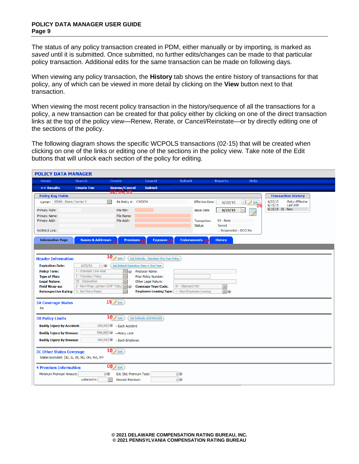#### **POLICY DATA MANAGER USER GUIDE Page 9**

The status of any policy transaction created in PDM, either manually or by importing, is marked as *saved* until it is submitted. Once submitted, no further edits/changes can be made to that particular policy transaction. Additional edits for the same transaction can be made on following days.

When viewing any policy transaction, the **History** tab shows the entire history of transactions for that policy, any of which can be viewed in more detail by clicking on the **View** button next to that transaction.

When viewing the most recent policy transaction in the history/sequence of all the transactions for a policy, a new transaction can be created for that policy either by clicking on one of the direct transaction links at the top of the policy view—Renew, Rerate, or Cancel/Reinstate—or by directly editing one of the sections of the policy.

The following diagram shows the specific WCPOLS transactions (02-15) that will be created when clicking on one of the links or editing one of the sections in the policy view. Take note of the Edit buttons that will unlock each section of the policy for editing.

| <b>POLICY DATA MANAGER</b>                                         |                                              |                                            |                                                                                      |                  |                         |                            |                                  |                    |                                             |  |
|--------------------------------------------------------------------|----------------------------------------------|--------------------------------------------|--------------------------------------------------------------------------------------|------------------|-------------------------|----------------------------|----------------------------------|--------------------|---------------------------------------------|--|
| <b>Home</b>                                                        | <b>Search</b>                                | <b>Create</b>                              | <b>Import</b>                                                                        | <b>Submit</b>    |                         | <b>Reports</b>             | <b>Help</b>                      |                    |                                             |  |
| << Results                                                         | <b>Create Txn</b>                            | Renew/Cancel<br>02, 04, 05                 | <b>Submit</b>                                                                        |                  |                         |                            |                                  |                    |                                             |  |
| <b>Policy Key Fields</b>                                           |                                              |                                            |                                                                                      |                  |                         |                            |                                  |                    | <b>Transaction History</b>                  |  |
| Carrier: 15066 - Demo Carrier 3                                    |                                              | $\checkmark$<br>PA Policy #: CH1234        |                                                                                      |                  | <b>Effective Date:</b>  | 6/22/15                    | $\blacktriangleright$ Edit<br>06 | 6/22/15<br>6/15/15 | <b>Policy Effective</b><br><b>Last Edit</b> |  |
| Primary FEIN:                                                      |                                              | File Nbr:                                  |                                                                                      |                  | <b>Issue Date:</b>      | 6/15/15                    |                                  | 6/15/15 01 New     |                                             |  |
| Primary Name:                                                      |                                              | File Name:                                 |                                                                                      |                  |                         |                            |                                  |                    |                                             |  |
| Primary Addr:                                                      |                                              | File Addr:                                 |                                                                                      |                  | Transaction:<br>Status: | 01 - New<br><b>Saved</b>   |                                  |                    |                                             |  |
| <b>WCPOLS Link:</b>                                                |                                              |                                            |                                                                                      |                  |                         | - Suspended - DCO Re       |                                  |                    |                                             |  |
|                                                                    |                                              |                                            |                                                                                      |                  |                         |                            |                                  |                    |                                             |  |
| <b>Information Page</b>                                            | Names & Addresses 10                         | <b>Premiums<sub>ng</sub></b>               | <b>Exposure<sub>ng</sub></b>                                                         |                  | <b>Endorsements 10</b>  | <b>History</b>             |                                  |                    |                                             |  |
|                                                                    |                                              |                                            |                                                                                      |                  |                         |                            |                                  |                    |                                             |  |
| <b>Header Information</b>                                          |                                              | $10$ $\geq$ Edit                           | Set Defaults - Standard One Year Policy                                              |                  |                         |                            |                                  |                    |                                             |  |
| <b>Expiration Date:</b>                                            | 6/22/16<br>$\vee$ (i)                        | Set Default Expiration Date + One Year     |                                                                                      |                  |                         |                            |                                  |                    |                                             |  |
| <b>Policy Term:</b>                                                | 1 - Standard One-Year                        | $\vee$ (i)                                 | Producer Name:                                                                       |                  |                         |                            |                                  |                    |                                             |  |
| <b>Type of Plan:</b>                                               | 1 - Voluntary Policy                         | $\checkmark$                               | Prior Policy Number:                                                                 |                  |                         |                            |                                  |                    |                                             |  |
| <b>Legal Nature:</b>                                               | 03 - Corporation                             | $\checkmark$                               | Other Legal Nature:                                                                  |                  |                         |                            |                                  |                    |                                             |  |
| <b>Field Wrap-up:</b><br>Retrospective Rating: 3 - Not Retro Rated | 2 - Non-Wrap-Up/Non-OCIP Policy v (i)        | $\checkmark$                               | <b>Coverage Type Code:</b><br><b>Employee Leasing Type:</b> 1 - Non-Employee Leasing | 01 - Standard WC |                         | $\checkmark$<br>$\vee$ (i) |                                  |                    |                                             |  |
|                                                                    |                                              |                                            |                                                                                      |                  |                         |                            |                                  |                    |                                             |  |
| <b>3A Coverage States</b>                                          |                                              | $15 \times$ Edit                           |                                                                                      |                  |                         |                            |                                  |                    |                                             |  |
| PA                                                                 |                                              |                                            |                                                                                      |                  |                         |                            |                                  |                    |                                             |  |
| <b>3B Policy Limits</b>                                            |                                              | $10 \times$ Edit                           | Set Defaults 100/500/100                                                             |                  |                         |                            |                                  |                    |                                             |  |
| <b>Bodily Injury by Accident:</b>                                  |                                              | 100,000 -Each Accident                     |                                                                                      |                  |                         |                            |                                  |                    |                                             |  |
| <b>Bodily Injury by Disease:</b>                                   |                                              | 500,000 - Policy Limit                     |                                                                                      |                  |                         |                            |                                  |                    |                                             |  |
|                                                                    |                                              |                                            |                                                                                      |                  |                         |                            |                                  |                    |                                             |  |
| <b>Bodily Injury by Disease:</b>                                   |                                              | 100,000 -Each Employee                     |                                                                                      |                  |                         |                            |                                  |                    |                                             |  |
| <b>3C Other States Coverage</b>                                    |                                              | $10 \times$ Edit                           |                                                                                      |                  |                         |                            |                                  |                    |                                             |  |
|                                                                    | States Excluded:  ID, IL, IN, ND, OH, WA, WY |                                            |                                                                                      |                  |                         |                            |                                  |                    |                                             |  |
|                                                                    |                                              |                                            |                                                                                      |                  |                         |                            |                                  |                    |                                             |  |
| <b>4 Premium Information</b>                                       |                                              | $08$ $\epsilon$ Edit                       |                                                                                      |                  |                         |                            |                                  |                    |                                             |  |
| Minimum Premium Amount:                                            |                                              | 0 <sup>o</sup><br>Est. Std. Premium Total: |                                                                                      | 0 <sup>o</sup>   |                         |                            |                                  |                    |                                             |  |
|                                                                    | collected in                                 | $\checkmark$<br>Deposit Premium:           |                                                                                      | 0 <sup>o</sup>   |                         |                            |                                  |                    |                                             |  |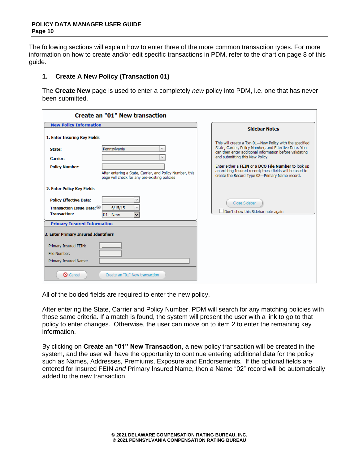The following sections will explain how to enter three of the more common transaction types. For more information on how to create and/or edit specific transactions in PDM, refer to the chart on page 8 of this guide.

#### **1. Create A New Policy (Transaction 01)**

The **Create New** page is used to enter a completely *new* policy into PDM, i.e. one that has never been submitted.

| <b>Create an "01" New transaction</b>                                                                                                                                                                                           |                                                                                                                                                                                                                                                                                                                                                                                      |
|---------------------------------------------------------------------------------------------------------------------------------------------------------------------------------------------------------------------------------|--------------------------------------------------------------------------------------------------------------------------------------------------------------------------------------------------------------------------------------------------------------------------------------------------------------------------------------------------------------------------------------|
| <b>New Policy Information</b>                                                                                                                                                                                                   | <b>Sidebar Notes</b>                                                                                                                                                                                                                                                                                                                                                                 |
| 1. Enter Insuring Key Fields<br>Pennsylvania<br>State:<br>$\checkmark$<br><b>Carrier:</b><br><b>Policy Number:</b><br>After entering a State, Carrier, and Policy Number, this<br>page will check for any pre-existing policies | This will create a Txn 01-New Policy with the specified<br>State, Carrier, Policy Number, and Effective Date. You<br>can then enter additional information before validating<br>and submitting this New Policy.<br>Enter either a FEIN or a DCO File Number to look up<br>an existing Insured record; these fields will be used to<br>create the Record Type 02-Primary Name record. |
| 2. Enter Policy Key Fields<br><b>Policy Effective Date:</b><br>6/15/15<br><b>Transaction Issue Date:</b><br><b>Transaction:</b><br>$01 - New$                                                                                   | Close Sidebar<br>$\Box$ Don't show this Sidebar note again                                                                                                                                                                                                                                                                                                                           |
| <b>Primary Insured Information</b><br>3. Enter Primary Insured Identifiers                                                                                                                                                      |                                                                                                                                                                                                                                                                                                                                                                                      |
| Primary Insured FEIN:<br>File Number:<br>Primary Insured Name:                                                                                                                                                                  |                                                                                                                                                                                                                                                                                                                                                                                      |
| <b>Q</b> Cancel<br>Create an "01" New transaction                                                                                                                                                                               |                                                                                                                                                                                                                                                                                                                                                                                      |

All of the bolded fields are required to enter the new policy.

After entering the State, Carrier and Policy Number, PDM will search for any matching policies with those same criteria. If a match is found, the system will present the user with a link to go to that policy to enter changes. Otherwise, the user can move on to item 2 to enter the remaining key information.

By clicking on **Create an "01" New Transaction**, a new policy transaction will be created in the system, and the user will have the opportunity to continue entering additional data for the policy such as Names, Addresses, Premiums, Exposure and Endorsements. If the optional fields are entered for Insured FEIN *and* Primary Insured Name, then a Name "02" record will be automatically added to the new transaction.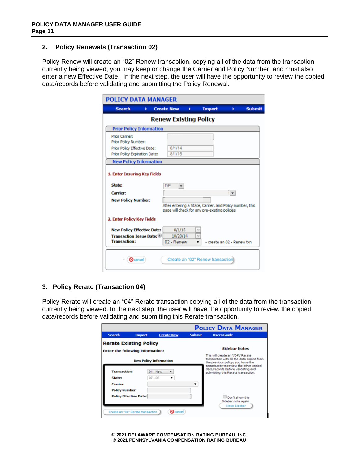## **2. Policy Renewals (Transaction 02)**

Policy Renew will create an "02" Renew transaction, copying all of the data from the transaction currently being viewed; you may keep or change the Carrier and Policy Number, and must also enter a new Effective Date. In the next step, the user will have the opportunity to review the copied data/records before validating and submitting the Policy Renewal.

| <b>Search</b><br>Þ.                                           | <b>Create New</b><br>۰                                                                                     | <b>Import</b> | ۰            | <b>Submit</b> |
|---------------------------------------------------------------|------------------------------------------------------------------------------------------------------------|---------------|--------------|---------------|
|                                                               | <b>Renew Existing Policy</b>                                                                               |               |              |               |
| <b>Prior Policy Information</b>                               |                                                                                                            |               |              |               |
| Prior Carrier:<br>Prior Policy Number:                        |                                                                                                            |               |              |               |
| Prior Policy Effective Date:<br>Prior Policy Expiration Date: | 8/1/14<br>8/1/15                                                                                           |               |              |               |
|                                                               |                                                                                                            |               |              |               |
| <b>New Policy Information</b><br>State:                       | DE                                                                                                         |               |              |               |
| 1. Enter Insuring Key Fields                                  |                                                                                                            |               |              |               |
| Carrier:                                                      |                                                                                                            |               | $\mathbf{r}$ |               |
| <b>New Policy Number:</b>                                     |                                                                                                            |               |              |               |
|                                                               | After entering a State, Carrier, and Policy number, this<br>page will check for any pre-existing policies. |               |              |               |
| 2. Enter Policy Key Fields                                    |                                                                                                            |               |              |               |
| <b>New Policy Effective Date:</b>                             | 8/1/15                                                                                                     |               |              |               |
| <b>Transaction Issue Date: (8)</b><br><b>Transaction:</b>     | 10/20/14                                                                                                   | v             |              |               |

## **3. Policy Rerate (Transaction 04)**

Policy Rerate will create an "04" Rerate transaction copying all of the data from the transaction currently being viewed. In the next step, the user will have the opportunity to review the copied data/records before validating and submitting this Rerate transaction.

|                       |                                         |                               |               | <b>POLICY DATA MANAGER</b>                                                                                          |
|-----------------------|-----------------------------------------|-------------------------------|---------------|---------------------------------------------------------------------------------------------------------------------|
| <b>Search</b>         | <b>Import</b>                           | <b>Create New</b>             | <b>Submit</b> | <b>Users Guide</b>                                                                                                  |
|                       | <b>Rerate Existing Policy</b>           |                               |               |                                                                                                                     |
|                       | <b>Enter the following information:</b> |                               |               | <b>Sidebar Notes</b>                                                                                                |
|                       |                                         | <b>New Policy Information</b> |               | This will create an \"04\" Rerate<br>transaction with all the data copied from<br>the previous policy; you have the |
| <b>Transaction:</b>   |                                         | $01 -$ New                    |               | opportunity to review the other copied<br>data/records before validating and<br>submitting this Rerate transaction. |
| <b>State:</b>         |                                         | $07 - DE$                     |               |                                                                                                                     |
| <b>Carrier:</b>       |                                         |                               |               |                                                                                                                     |
| <b>Policy Number:</b> |                                         |                               |               |                                                                                                                     |
|                       | <b>Policy Effective Date:</b>           |                               |               | Don't show this                                                                                                     |
|                       |                                         |                               |               | Sidebar note again<br>Close Sidebar                                                                                 |
|                       | Create an "04" Rerate transaction       | $\mathbf{\Omega}$ cancel      |               |                                                                                                                     |

**© 2021 DELAWARE COMPENSATION RATING BUREAU, INC. © 2021 PENNSYLVANIA COMPENSATION RATING BUREAU**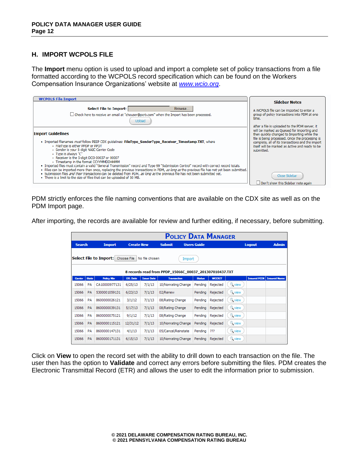## **H. IMPORT WCPOLS FILE**

The **Import** menu option is used to upload and import a complete set of policy transactions from a file formatted according to the WCPOLS record specification which can be found on the Workers Compensation Insurance Organizations' website at *www.wcio.org*.

| <b>WCPOLS File Import</b>                                                                                                                                                                                                                                                                                                                                                                                                                                                                                                                                                                                                                                                                                                                                                                                                                           | <b>Sidebar Notes</b>                                                                                                                                                                                                                                                                                                            |
|-----------------------------------------------------------------------------------------------------------------------------------------------------------------------------------------------------------------------------------------------------------------------------------------------------------------------------------------------------------------------------------------------------------------------------------------------------------------------------------------------------------------------------------------------------------------------------------------------------------------------------------------------------------------------------------------------------------------------------------------------------------------------------------------------------------------------------------------------------|---------------------------------------------------------------------------------------------------------------------------------------------------------------------------------------------------------------------------------------------------------------------------------------------------------------------------------|
| <b>Select File to Import:</b><br>Browse<br>□ Check here to receive an email at "chouser@pcrb.com" when the Import has been processed.<br>Upload                                                                                                                                                                                                                                                                                                                                                                                                                                                                                                                                                                                                                                                                                                     | A WCPOLS file can be imported to enter a<br>group of policy transactions into PDM at one<br>time.<br>After a file is uploaded to the PDM server, it                                                                                                                                                                             |
| <b>Import Guidelines</b><br>• Imported filenames <i>must</i> follow PEEP CDX quidelines: FileType SenderType Receiver Timestamp.TXT, where<br>- FileType is either PPDP or PPDT<br>· Sender is your 5-digit NAIC Carrier Code<br>• Type is always "C"<br>- Receiver is the 5-digit DCO 00037 or 00007<br>- Timestamp in the format CCYYMMDDHHMM<br>. Imported files must contain a valid "General Transmission" record and Type 99 "Submission Control" record with correct record totals.<br>. Files can be imported more than once, replacing the previous transactions in PDM, as long as the previous file has not yet been submitted.<br>. Submission files and their transactions can be deleted from PDM, as long as the previous file has not been submitted yet.<br>. There is a limit to the size of files that can be uploaded of 50 MB. | will be marked as Oueued for importing and<br>then quickly changed to Importing while the<br>file is being processed. Once the processing is<br>complete, all of its transactions and the import<br>itself will be marked as Active and ready to be<br>submitted.<br>Close Sidebar<br>$\Box$ Don't show this Sidebar note again |

PDM strictly enforces the file naming conventions that are available on the CDX site as well as on the PDM Import page.

After importing, the records are available for review and further editing, if necessary, before submitting.

|               |              |                        |                   |                   |                                                        |        |                    | <b>POLICY DATA MANAGER</b> |               |                     |                     |
|---------------|--------------|------------------------|-------------------|-------------------|--------------------------------------------------------|--------|--------------------|----------------------------|---------------|---------------------|---------------------|
| <b>Search</b> |              | <b>Import</b>          | <b>Create New</b> |                   | <b>Submit</b>                                          |        | <b>Users Guide</b> |                            |               | <b>Logout</b>       | <b>Admin</b>        |
|               |              | Select File to Import: | Choose File       | No file chosen    | 8 records read from PPDP 15066C 00037 201307010437.TXT | Import |                    |                            |               |                     |                     |
| Carrier       | <b>State</b> | <b>Policy Nbr</b>      | <b>Eff. Date</b>  | <b>Issue Date</b> | <b>Transaction</b>                                     |        | <b>Status</b>      | <b>WCCRIT</b>              |               | <b>Insured FEIN</b> | <b>Insured Name</b> |
| 15066         | PA           | CA10000977131          | 6/25/13           | 7/1/13            | 10/Nonrating Change                                    |        | Pending            | Rejected                   | wiew          |                     |                     |
| 15066         | PA           | 5300001059131          | 6/23/13           | 7/1/13            | 02/Renew                                               |        | Pendina            | Rejected                   | wew           |                     |                     |
| 15066         | PA           | 8600000026121          | 3/1/12            | 7/1/13            | 08/Rating Change                                       |        | Pendina            | Rejected                   | <b>Q</b> view |                     |                     |
| 15066         | PA           | 8600000039131          | 5/17/13           | 7/1/13            | 08/Rating Change                                       |        | Pending            | Rejected                   | <b>Q</b> view |                     |                     |
| 15066         | PA           | 8600000075121          | 9/1/12            | 7/1/13            | 08/Rating Change                                       |        | Pendina            | Rejected                   | <b>Q</b> view |                     |                     |
| 15066         | PA           | 8600000115121          | 12/31/12          | 7/1/13            | 10/Nonrating Change                                    |        | Pending            | Rejected                   | wiew          |                     |                     |
| 15066         | PA           | 8600000147131          | 4/1/13            | 7/1/13            | 05/Cancel/Reinstate                                    |        | Pending            | 722                        | wew           |                     |                     |
| 15066         | <b>PA</b>    | 8600000171131          | 6/15/13           | 7/1/13            | 10/Nonrating Change                                    |        | Pending            | Rejected                   | wiew          |                     |                     |

Click on **View** to open the record set with the ability to drill down to each transaction on the file. The user then has the option to **Validate** and correct any errors before submitting the files. PDM creates the Electronic Transmittal Record (ETR) and allows the user to edit the information prior to submission.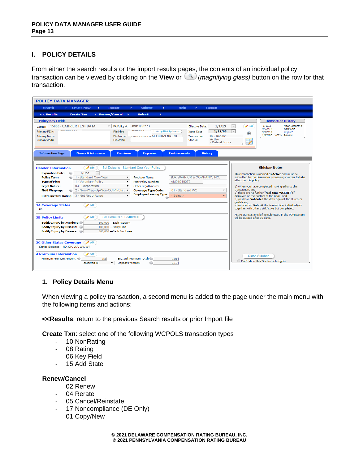## **I. POLICY DETAILS**

From either the search results or the import results pages, the contents of an individual policy transaction can be viewed by clicking on the **View** or (*magnifying glass)* button on the row for that transaction.

| <b>POLICY DATA MANAGER</b>                                                                                                                                                                                                                                                                                                                                                                                                                                                                                                                                                                                                                                                                                                                                                                                                                                                                                                                                                     |                                                                                                                                                                                                                                                                                                                                                                                                                                                                                                                                                                                                                 |
|--------------------------------------------------------------------------------------------------------------------------------------------------------------------------------------------------------------------------------------------------------------------------------------------------------------------------------------------------------------------------------------------------------------------------------------------------------------------------------------------------------------------------------------------------------------------------------------------------------------------------------------------------------------------------------------------------------------------------------------------------------------------------------------------------------------------------------------------------------------------------------------------------------------------------------------------------------------------------------|-----------------------------------------------------------------------------------------------------------------------------------------------------------------------------------------------------------------------------------------------------------------------------------------------------------------------------------------------------------------------------------------------------------------------------------------------------------------------------------------------------------------------------------------------------------------------------------------------------------------|
| <b>Import</b><br><b>Submit</b><br><b>Search</b><br>Create New<br>×<br>×<br><b>Help</b><br>×.<br>Logout<br>ъ.                                                                                                                                                                                                                                                                                                                                                                                                                                                                                                                                                                                                                                                                                                                                                                                                                                                                   |                                                                                                                                                                                                                                                                                                                                                                                                                                                                                                                                                                                                                 |
| << Results<br>Renew/Cancel<br><b>Submit</b><br><b>Create Txn</b><br>- 6<br>×                                                                                                                                                                                                                                                                                                                                                                                                                                                                                                                                                                                                                                                                                                                                                                                                                                                                                                   |                                                                                                                                                                                                                                                                                                                                                                                                                                                                                                                                                                                                                 |
| <b>Policy Key Fields</b><br><b>15066 - CARRIER TEST DATA</b><br>$\triangledown$ PA Policy #: JM01050273<br><b>Effective Date:</b><br>1/1/15<br>Carrier:<br>2686873<br><b>SEASOFSAC</b><br>Look up Risk by Name<br>1/12/05<br>File Nbr:<br>Primary FEIN:<br><b>Issue Date:</b><br>02 - Renew<br>$\sim$ AID CITIZENS ENT<br><b>Transaction:</b><br>Primary Name:<br>File Name:<br><b>Active</b><br>Primary Addr:<br>File Addr:<br>Status:<br>- Critical Errors<br><b>Names &amp; Addresses</b><br><b>Endorsements</b><br><b>Information Page</b><br><b>Premiums</b><br><b>History</b><br><b>Exposure</b>                                                                                                                                                                                                                                                                                                                                                                         | <b>Transaction History</b><br>1/1/15<br><b>Policy Effective</b><br>$\blacktriangleright$ edit<br>9/22/14<br>Last Edit<br>9/22/14<br>Import<br>曲<br>1/12/05 > 02> Renew                                                                                                                                                                                                                                                                                                                                                                                                                                          |
| Set Defaults - Standard One Year Policy<br>$\bullet$ edit<br><b>Header Information</b><br><b>Expiration Date:</b><br>(i)<br>1/1/06<br>(a) 1 - Standard One-Year<br><b>B.A. BARRICK &amp; COMPANY, INC.</b><br>Producer Name:<br><b>Policy Term:</b><br>$\pmb{\mathrm{v}}$<br>1 - Voluntary Policy<br>AM01040273<br><b>Type of Plan:</b><br>$\pmb{\mathrm{v}}$<br>Prior Policy Number:<br><b>Legal Nature:</b><br>03 - Corporation<br>$\pmb{\mathrm{v}}$<br>Other Legal Nature:<br>2 - Non-Wrap-Up/Non-OCIP Polic\ ▼<br>01 - Standard WC<br><b>Field Wrap-up:</b><br><b>Coverage Type Code:</b><br>▼<br>(1, 1)<br><b>Employee Leasing Type:</b><br>- Select-<br>Retrospective Rating: 3 - Not Retro Rated<br>$\pmb{\mathrm{v}}$<br>$\overline{\mathbf{v}}$<br>$\blacktriangleright$ edit<br><b>3A Coverage States</b><br>PA<br>Set Defaults 100/500/100<br>$\blacktriangleright$ edit<br><b>3B Policy Limits</b><br>100,000 -Each Accident<br><b>Bodily Injury by Accident:</b> | <b>Sidebar Notes</b><br>This transaction is marked as Active and must be<br>submitted to the Bureau for processing in order to take<br>effect on this policy.<br>1) When you have completed making edits to this<br>transaction, and<br>2) there are no further "real-time WCCRIT's"<br>displayed at the bottom of the page, and<br>3) you have Validated the data against the Bureau's<br>quidelines.<br>-then you can Submit this transaction, individually or<br>together with others still Active but completed.<br>Active transactions left unsubmitted in the PDM system<br>will be purged after 30 days. |
| <b>Bodily Injury by Disease:</b> (i)<br>100,000 - Policy Limit<br><b>Bodily Injury by Disease:</b> (i)<br>500,000 -Each Employee<br>3C Other States Coverage edit<br>States Excluded: ND, OH, WA, WV, WY<br><b>4 Premium Information</b><br>$\blacktriangleright$ edit<br>Minimum Premium Amount: (iii)<br>188<br>Est. Std. Premium Total: (ii)<br>2,014<br>collected in<br>$\pmb{\mathrm{v}}$<br>Deposit Premium:<br>2.104                                                                                                                                                                                                                                                                                                                                                                                                                                                                                                                                                    | <b>Close Sidebar</b><br>Don't show this Sidebar note again                                                                                                                                                                                                                                                                                                                                                                                                                                                                                                                                                      |

## **1. Policy Details Menu**

When viewing a policy transaction, a second menu is added to the page under the main menu with the following items and actions:

**<<Results**: return to the previous Search results or prior Import file

**Create Txn**: select one of the following WCPOLS transaction types

- 10 NonRating
- 08 Rating
- 06 Key Field
- 15 Add State

## **Renew/Cancel**

- 02 Renew
- 04 Rerate
- 05 Cancel/Reinstate
- 17 Noncompliance (DE Only)
- 01 Copy/New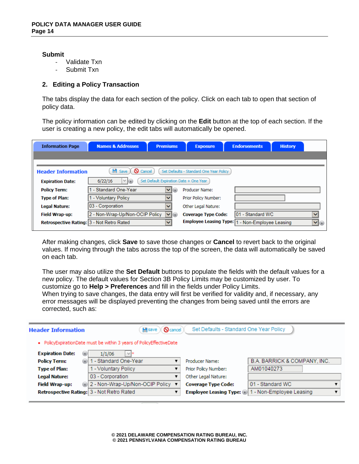#### **Submit**

- Validate Txn
- Submit Txn

## **2. Editing a Policy Transaction**

The tabs display the data for each section of the policy. Click on each tab to open that section of policy data.

The policy information can be edited by clicking on the **Edit** button at the top of each section. If the user is creating a new policy, the edit tabs will automatically be opened.

| <b>Information Page</b>                   | <b>Names &amp; Addresses</b>           | <b>Premiums</b>                        | <b>Exposure</b>                         | <b>Endorsements</b>                             | <b>History</b>   |
|-------------------------------------------|----------------------------------------|----------------------------------------|-----------------------------------------|-------------------------------------------------|------------------|
|                                           |                                        |                                        |                                         |                                                 |                  |
| <b>Header Information</b>                 | $\blacksquare$ Save<br><b>Q</b> Cancel |                                        | Set Defaults - Standard One Year Policy |                                                 |                  |
| <b>Expiration Date:</b>                   | $  \vee  $<br>6/22/16                  | Set Default Expiration Date + One Year |                                         |                                                 |                  |
| <b>Policy Term:</b>                       | - Standard One-Year                    | a)<br>$\checkmark$                     | Producer Name:                          |                                                 |                  |
| <b>Type of Plan:</b>                      | - Voluntary Policy                     | $\checkmark$                           | Prior Policy Number:                    |                                                 |                  |
| <b>Legal Nature:</b>                      | 03 - Corporation                       | v                                      | Other Legal Nature:                     |                                                 |                  |
| <b>Field Wrap-up:</b>                     | 2 - Non-Wrap-Up/Non-OCIP Policy        | $\vee$ (i)                             | <b>Coverage Type Code:</b>              | 101 - Standard WC                               | $\checkmark$     |
| Retrospective Rating: 3 - Not Retro Rated |                                        | $\checkmark$                           |                                         | Employee Leasing Type: 1 - Non-Employee Leasing | $\mathbf{v}$ (i) |

After making changes, click **Save** to save those changes or **Cancel** to revert back to the original values. If moving through the tabs across the top of the screen, the data will automatically be saved on each tab.

The user may also utilize the **Set Default** buttons to populate the fields with the default values for a new policy. The default values for Section 3B Policy Limits may be customized by user. To customize go to **Help > Preferences** and fill in the fields under Policy Limits.

When trying to save changes, the data entry will first be verified for validity and, if necessary, any error messages will be displayed preventing the changes from being saved until the errors are corrected, such as:

| <b>Header Information</b> | <b>Q</b> cancel<br><b>H</b> save                                     | Set Defaults - Standard One Year Policy |                                                     |
|---------------------------|----------------------------------------------------------------------|-----------------------------------------|-----------------------------------------------------|
|                           | • PolicyExpirationDate must be within 3 years of PolicyEffectiveDate |                                         |                                                     |
| <b>Expiration Date:</b>   | 1/1/06<br>ω<br>$V$ *                                                 |                                         |                                                     |
| <b>Policy Term:</b>       | 1 - Standard One-Year<br>(a)                                         | Producer Name:                          | B.A. BARRICK & COMPANY, INC.                        |
| <b>Type of Plan:</b>      | - Voluntary Policy                                                   | Prior Policy Number:                    | AM01040273                                          |
| Legal Nature:             | 03 - Corporation                                                     | Other Legal Nature:                     |                                                     |
| <b>Field Wrap-up:</b>     | <b>a</b> 2 - Non-Wrap-Up/Non-OCIP Policy ▼                           | <b>Coverage Type Code:</b>              | 01 - Standard WC                                    |
|                           | Retrospective Rating: 3 - Not Retro Rated                            |                                         | Employee Leasing Type: (i) 1 - Non-Employee Leasing |
|                           |                                                                      |                                         |                                                     |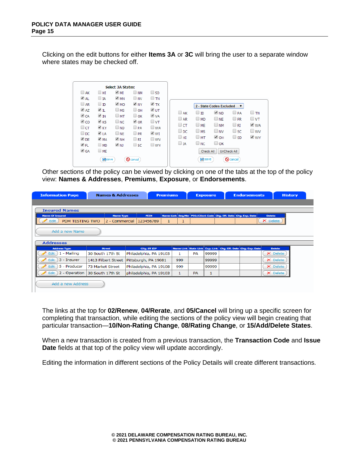Clicking on the edit buttons for either **Items 3A** or **3C** will bring the user to a separate window where states may be checked off.

|                    |                     | Select 3A States: |                    |              |            |                     |                          |                 |
|--------------------|---------------------|-------------------|--------------------|--------------|------------|---------------------|--------------------------|-----------------|
| $\Box$ AK          | $\Box$ HI           | $\blacksquare$ MI | $\square$ NM       | $\Box$ SD    |            |                     |                          |                 |
| $\blacksquare$ AL  | $\Box$ ta           | $\blacksquare$ MN | $\square$ NV       | $\Box$ tn    |            |                     |                          |                 |
| $\Box$ AR          | $\Box$ ID           | © MO              | $\blacksquare$ NY  | <b>√ TX</b>  |            |                     | 2 - State Codes Excluded | ▼               |
| $\triangleleft$ AZ | $\blacksquare$      | $\square$ MS      | $\Box$ OH          | V UT         |            |                     | $\blacksquare$ ND        |                 |
| $\triangleleft$ CA | $\blacksquare$ IN   | $\Box$ MT         | $\Box$ OK          | Ø VA         | $\Box$ AK  | $\Box$ ID           |                          | $\Box$ PA       |
| ⊌ co               | $\mathbb{Z}$ KS     | $\Box$ NC         | $\triangleleft$ OR | $\Box$ VT    | $\Box$ AR  | $\Box$ MD           | $\square$ Ne             | $\Box$ PR       |
| $\Box$ CT          | $\mathscr{L}$ KY    | $\square$ ND      | $\Box$ PA          | $\square$ WA | $\Box$ CT. | $\square$ ME        | $\Box$ NM                | $\Box$ RI       |
| $\Box$ DC          | Ø LA                | $\Box$ Ne         | $\Box$ PR          | $\vee$ WI    | $\Box$ DC  | $\Box$ MS           | $\Box$ NV                | $\square$ sc    |
| $\vee$ DE          | M A                 | $\blacksquare$ NH | $\Box$ RI          | $\square$ wv | $\Box$ HI  | $\Box$ MT           | <b>√ OH</b>              | $\Box$ SD       |
| V FL               | $\Box$ MD           | V NJ              | $\Box$ sc.         | $\square$ wy | $\Box$ ta  | $\Box$ NC           | $\Box$ OK                |                 |
| $\triangleleft$ GA | $\square$ ME        |                   |                    |              |            | Check All           |                          | UnCheck All     |
|                    | $\blacksquare$ save |                   | <b>Q</b> cancel    |              |            | $\blacksquare$ save |                          | <b>Q</b> cancel |

Other sections of the policy can be viewed by clicking on one of the tabs at the top of the policy view: **Names & Addresses**, **Premiums**, **Exposure**, or **Endorsements**.

| <b>Information Page</b><br><b>Names &amp; Addresses</b>                                                |                     |                  | <b>Premiums</b>        |   |     | <b>Exposure</b> |       |                                                                  | <b>Endorsements</b>                                          |               | <b>History</b> |
|--------------------------------------------------------------------------------------------------------|---------------------|------------------|------------------------|---|-----|-----------------|-------|------------------------------------------------------------------|--------------------------------------------------------------|---------------|----------------|
|                                                                                                        |                     |                  |                        |   |     |                 |       |                                                                  |                                                              |               |                |
| <b>Insured Names</b>                                                                                   |                     |                  |                        |   |     |                 |       |                                                                  |                                                              |               |                |
| <b>Name Of Insured</b>                                                                                 |                     | <b>Name Type</b> | FEIN                   |   |     |                 |       | Name Link Seq. Nbr PEO/Client Code Chg. Eff. Date Chg. Exp. Date |                                                              | <b>Delete</b> |                |
| $\blacktriangleright$ Edit<br>PDM TESTING TWO                                                          |                     | 2 - Commercial   | 123456789              | 1 | 1   |                 |       |                                                                  |                                                              | X Delete      |                |
|                                                                                                        |                     |                  |                        |   |     |                 |       |                                                                  |                                                              |               |                |
| Add a new Name                                                                                         |                     |                  |                        |   |     |                 |       |                                                                  |                                                              |               |                |
|                                                                                                        |                     |                  |                        |   |     |                 |       |                                                                  |                                                              |               |                |
| <b>Addresses</b>                                                                                       |                     |                  |                        |   |     |                 |       |                                                                  |                                                              |               |                |
| <b>Address Type</b>                                                                                    | <b>Street</b>       |                  | City, ST ZIP           |   |     |                 |       |                                                                  | Name Link State Link Exp. Link Chg. Eff. Date Chg. Exp. Date | <b>Delete</b> |                |
| 1 - Mailing<br>Edit                                                                                    | 30 South 17th St    |                  | Philadelphia, PA 19103 |   |     | <b>PA</b>       | 99999 |                                                                  |                                                              | X Delete      |                |
| Edit<br>3 - Insurer                                                                                    | 1413 Filbert Street |                  | Pittsburgh, PA 19081   |   | 999 |                 | 99999 |                                                                  |                                                              | X Delete      |                |
| 5 - Producer<br>Edit                                                                                   | 73 Market Street    |                  | Philadelphia, PA 19108 |   | 999 |                 | 99999 |                                                                  |                                                              | X Delete      |                |
| Edit<br>2 - Operation<br>30 South 17th St<br>philadelphia, PA 19103<br>X Delete<br>1<br><b>PA</b><br>1 |                     |                  |                        |   |     |                 |       |                                                                  |                                                              |               |                |
|                                                                                                        | Add a new Address   |                  |                        |   |     |                 |       |                                                                  |                                                              |               |                |

The links at the top for **02/Renew**, **04/Rerate**, and **05/Cancel** will bring up a specific screen for completing that transaction, while editing the sections of the policy view will begin creating that particular transaction—**10/Non-Rating Change**, **08/Rating Change**, or **15/Add/Delete States**.

When a new transaction is created from a previous transaction, the **Transaction Code** and **Issue Date** fields at that top of the policy view will update accordingly.

Editing the information in different sections of the Policy Details will create different transactions.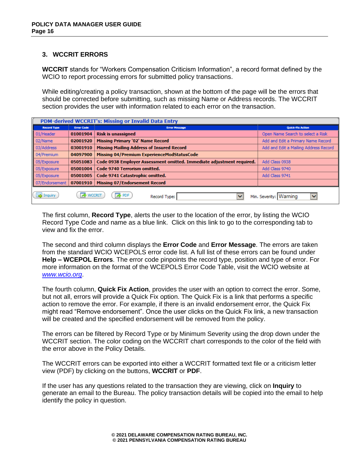## **3. WCCRIT ERRORS**

**WCCRIT** stands for "Workers Compensation Criticism Information", a record format defined by the WCIO to report processing errors for submitted policy transactions.

While editing/creating a policy transaction, shown at the bottom of the page will be the errors that should be corrected before submitting, such as missing Name or Address records. The WCCRIT section provides the user with information related to each error on the transaction.

|                    | PDM-derived WCCRIT's: Missing or Invalid Data Entry |                                                                                         |                                       |  |  |  |  |  |  |  |
|--------------------|-----------------------------------------------------|-----------------------------------------------------------------------------------------|---------------------------------------|--|--|--|--|--|--|--|
| <b>Record Type</b> | <b>Error Code</b>                                   | <b>Error Message</b>                                                                    | <b>Quick-Fix Action</b>               |  |  |  |  |  |  |  |
| 01/Header          | 01001904                                            | <b>Risk is unassigned</b>                                                               | Open Name Search to select a Risk     |  |  |  |  |  |  |  |
| 02/Name            | 02001920                                            | <b>Missing Primary '02' Name Record</b>                                                 | Add and Edit a Primary Name Record    |  |  |  |  |  |  |  |
| 03/Address         | 03001910                                            | <b>Missing Mailing Address of Insured Record</b>                                        | Add and Edit a Mailing Address Record |  |  |  |  |  |  |  |
| 04/Premium         | 04097900                                            | Missing 04/Premium ExperienceModStatusCode                                              |                                       |  |  |  |  |  |  |  |
| 05/Exposure        | 05051083                                            | Code 0938 Employer Assessment omitted. Immediate adjustment required.<br>Add Class 0938 |                                       |  |  |  |  |  |  |  |
| 05/Exposure        | 05001004                                            | Code 9740 Terrorism omitted.                                                            | Add Class 9740                        |  |  |  |  |  |  |  |
| 05/Exposure        | 05001005                                            | Code 9741 Catastrophic omitted.                                                         | Add Class 9741                        |  |  |  |  |  |  |  |
| 07/Endorsement     | 07001910                                            | <b>Missing 07/Endorsement Record</b>                                                    |                                       |  |  |  |  |  |  |  |
| <b>A</b> Inquiry   | <b>WCCRIT</b>                                       | <b>SPDF</b><br>Record Type:<br>$\checkmark$                                             | Min. Severity: Warning<br>v           |  |  |  |  |  |  |  |

The first column, **Record Type**, alerts the user to the location of the error, by listing the WCIO Record Type Code and name as a blue link. Click on this link to go to the corresponding tab to view and fix the error.

The second and third column displays the **Error Code** and **Error Message**. The errors are taken from the standard WCIO WCEPOLS error code list. A full list of these errors can be found under **Help – WCEPOL Errors**. The error code pinpoints the record type, position and type of error. For more information on the format of the WCEPOLS Error Code Table, visit the WCIO website at *[www.wcio.org](http://www.wcio.org/)*.

The fourth column, **Quick Fix Action**, provides the user with an option to correct the error. Some, but not all, errors will provide a Quick Fix option. The Quick Fix is a link that performs a specific action to remove the error. For example, if there is an invalid endorsement error, the Quick Fix might read "Remove endorsement". Once the user clicks on the Quick Fix link, a new transaction will be created and the specified endorsement will be removed from the policy.

The errors can be filtered by Record Type or by Minimum Severity using the drop down under the WCCRIT section. The color coding on the WCCRIT chart corresponds to the color of the field with the error above in the Policy Details.

The WCCRIT errors can be exported into either a WCCRIT formatted text file or a criticism letter view (PDF) by clicking on the buttons, **WCCRIT** or **PDF**.

If the user has any questions related to the transaction they are viewing, click on **Inquiry** to generate an email to the Bureau. The policy transaction details will be copied into the email to help identify the policy in question.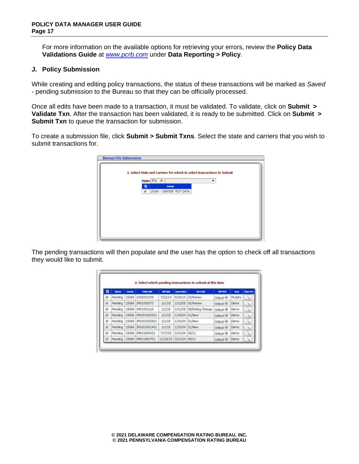For more information on the available options for retrieving your errors, review the **Policy Data Validations Guide** at *[www.pcrb.com](http://www.pcrb.com/)* under **Data Reporting > Policy**.

#### **J. Policy Submission**

While creating and editing policy transactions, the status of these transactions will be marked as *Saved* - pending submission to the Bureau so that they can be officially processed.

Once all edits have been made to a transaction, it must be validated. To validate, click on **Submit > Validate Txn**. After the transaction has been validated, it is ready to be submitted. Click on **Submit > Submit Txn** to queue the transaction for submission.

To create a submission file, click **Submit > Submit Txns**. Select the state and carriers that you wish to submit transactions for.

| <b>Bureau File Submission</b> |                                 |                                                                         |  |
|-------------------------------|---------------------------------|-------------------------------------------------------------------------|--|
|                               |                                 | 1. Select State and Carriers for which to select transactions to Submit |  |
|                               | State: PA v                     | ۰                                                                       |  |
|                               | ◙<br>Carrier                    |                                                                         |  |
|                               | œ.<br>15066 - CARRIER TEST DATA |                                                                         |  |
|                               |                                 |                                                                         |  |
|                               |                                 |                                                                         |  |
|                               |                                 |                                                                         |  |
|                               |                                 |                                                                         |  |
|                               |                                 |                                                                         |  |
|                               |                                 |                                                                         |  |

The pending transactions will then populate and the user has the option to check off all transactions they would like to submit.

|    |         |         |                            |                 |                    | 2. Select which pending transactions to submit at this time |                         |                   |          |
|----|---------|---------|----------------------------|-----------------|--------------------|-------------------------------------------------------------|-------------------------|-------------------|----------|
| o  | Marine  | Carrier | <b>Policy Nie</b>          | <b>Uff.Date</b> | <b>Januar Gota</b> | <b>Tan Code</b>                                             | <b>MOCKET</b>           | Gear              | View Ton |
| ×  | Pending | 15066   | 1000001035                 | 7/22/14         | 9/30/14            | 02/Renew                                                    | Critical (8)            | Murphy            |          |
| ø  |         |         | Pending 15066 7401050273   | 1/1/15          |                    | 1/12/05 02/Renew                                            | Critical (8)            | Demo <sup>-</sup> | X        |
| ¥. |         |         | Pending 15066 3M01051216   | 1/1/15          | 1/12/05            | 08/Rating Change                                            | Critical (ii)           | Demo              |          |
| ¥  |         |         | Pending 15066 3M1001000301 | 1/1/15          | 1/29/04 01/New     |                                                             | Critical (8)            | Demo              | k.       |
| ×  | Pending |         | 15066 JM1001000501         | 1/1/15          | 1/30/04 01/New     |                                                             | Critical (8)            | Demo              |          |
| ×  | Pending | 15066   | M1001001401                | 1/1/15          | 1/29/04 01/New     |                                                             | <b>Critical UI</b>      | Demo              | ×.       |
| ø  | Pending |         | 15066 JM911804101          | 7/17/15         | 3/31/04 05/11      |                                                             | Critical <sup>(8)</sup> | Demo:             |          |
| B  |         |         | Pending 15066 JM911861701  | 11/19/15        | 3/31/04 05/11      |                                                             | Critical (8)            | Demo              |          |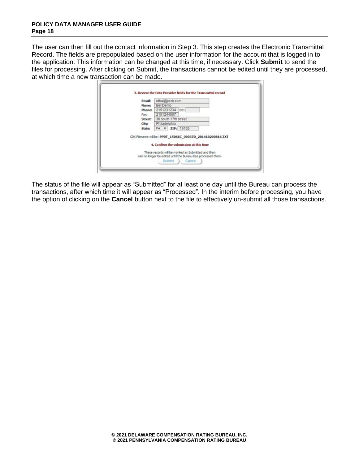The user can then fill out the contact information in Step 3. This step creates the Electronic Transmittal Record. The fields are prepopulated based on the user information for the account that is logged in to the application. This information can be changed at this time, if necessary. Click **Submit** to send the files for processing. After clicking on Submit, the transactions cannot be edited until they are processed, at which time a new transaction can be made.

|         | ethai@ocrb.com                                                                                                                                                                                                                              |  |
|---------|---------------------------------------------------------------------------------------------------------------------------------------------------------------------------------------------------------------------------------------------|--|
| Name:   | Bet Demo                                                                                                                                                                                                                                    |  |
| Phone:  | 2151231234 Ext:                                                                                                                                                                                                                             |  |
| Facc    | 2151244567                                                                                                                                                                                                                                  |  |
| Street: | 30 south 17th street                                                                                                                                                                                                                        |  |
| City:   | Philadelphia                                                                                                                                                                                                                                |  |
| State:  | PA v ZIP: 19103                                                                                                                                                                                                                             |  |
|         | CDX Flerame will be: PPDT_15066C_00037D_201410200816.TXT<br>4. Confirm the submission at this time<br>These records will be marked as Submitted and then<br>can no longer be edited until the Bureau has processed them.<br>Submit   Cancel |  |

The status of the file will appear as "Submitted" for at least one day until the Bureau can process the transactions, after which time it will appear as "Processed". In the interim before processing, you have the option of clicking on the **Cancel** button next to the file to effectively un-submit all those transactions.